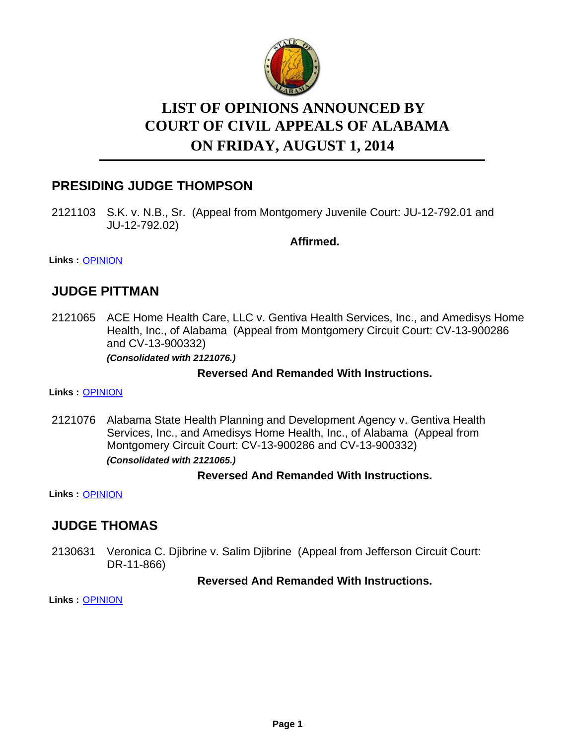

# **LIST OF OPINIONS ANNOUNCED BY ON FRIDAY, AUGUST 1, 2014 COURT OF CIVIL APPEALS OF ALABAMA**

# **PRESIDING JUDGE THOMPSON**

2121103 S.K. v. N.B., Sr. (Appeal from Montgomery Juvenile Court: JU-12-792.01 and JU-12-792.02)

**Affirmed.**

**Links :** [OPINION](https://acis.alabama.gov/displaydocs.cfm?no=595447&event=44N0LBB9A)

# **JUDGE PITTMAN**

2121065 ACE Home Health Care, LLC v. Gentiva Health Services, Inc., and Amedisys Home Health, Inc., of Alabama (Appeal from Montgomery Circuit Court: CV-13-900286 and CV-13-900332)

*(Consolidated with 2121076.)*

### **Reversed And Remanded With Instructions.**

#### **Links :** [OPINION](https://acis.alabama.gov/displaydocs.cfm?no=595446&event=44N0LB86T)

2121076 Alabama State Health Planning and Development Agency v. Gentiva Health Services, Inc., and Amedisys Home Health, Inc., of Alabama (Appeal from Montgomery Circuit Court: CV-13-900286 and CV-13-900332) *(Consolidated with 2121065.)*

### **Reversed And Remanded With Instructions.**

**Links :** [OPINION](https://acis.alabama.gov/displaydocs.cfm?no=595446&event=44N0LB86T)

### **JUDGE THOMAS**

2130631 Veronica C. Djibrine v. Salim Djibrine (Appeal from Jefferson Circuit Court: DR-11-866)

### **Reversed And Remanded With Instructions.**

**Links :** [OPINION](https://acis.alabama.gov/displaydocs.cfm?no=595449&event=44N0LBGLP)